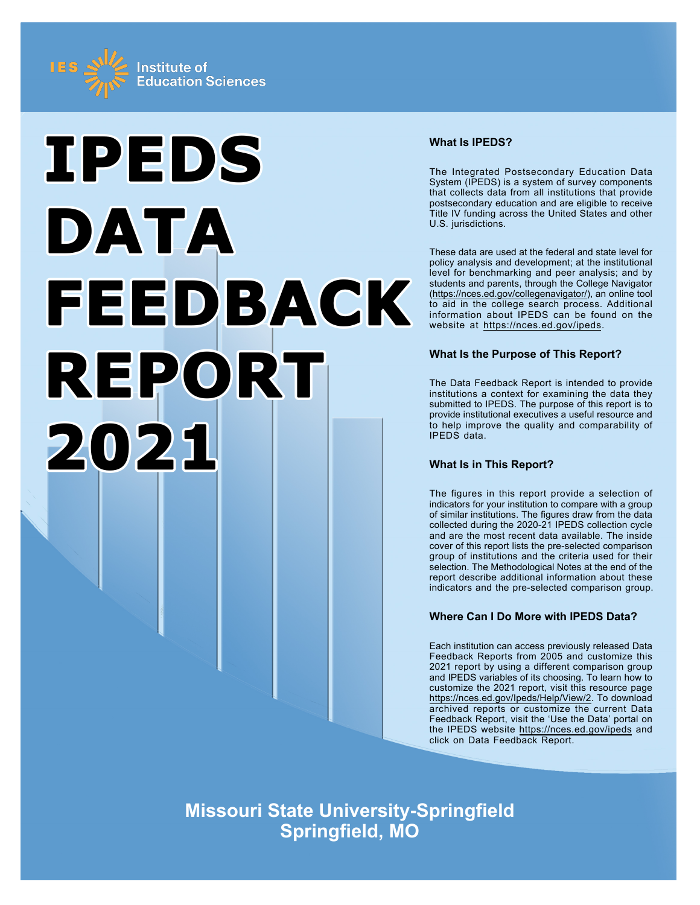



# **What Is IPEDS?**

The Integrated Postsecondary Education Data System (IPEDS) is a system of survey components that collects data from all institutions that provide postsecondary education and are eligible to receive Title IV funding across the United States and other U.S. jurisdictions.

These data are used at the federal and state level for policy analysis and development; at the institutional level for benchmarking and peer analysis; and by students and parents, through the College Navigator ([https://nces.ed.gov/collegenavigator/\)](https://nces.ed.gov/collegenavigator/), an online tool to aid in the college search process. Additional information about IPEDS can be found on the website at<https://nces.ed.gov/ipeds>.

# **What Is the Purpose of This Report?**

The Data Feedback Report is intended to provide institutions a context for examining the data they submitted to IPEDS. The purpose of this report is to provide institutional executives a useful resource and to help improve the quality and comparability of IPEDS data.

# **What Is in This Report?**

The figures in this report provide a selection of indicators for your institution to compare with a group of similar institutions. The figures draw from the data collected during the 2020-21 IPEDS collection cycle and are the most recent data available. The inside cover of this report lists the pre-selected comparison group of institutions and the criteria used for their selection. The Methodological Notes at the end of the report describe additional information about these indicators and the pre-selected comparison group.

# **Where Can I Do More with IPEDS Data?**

Each institution can access previously released Data Feedback Reports from 2005 and customize this 2021 report by using a different comparison group and IPEDS variables of its choosing. To learn how to customize the 2021 report, visit this resource page <https://nces.ed.gov/Ipeds/Help/View/2>. To download archived reports or customize the current Data Feedback Report, visit the 'Use the Data' portal on the IPEDS website<https://nces.ed.gov/ipeds> and click on Data Feedback Report.

**Missouri State University-Springfield Springfield, MO**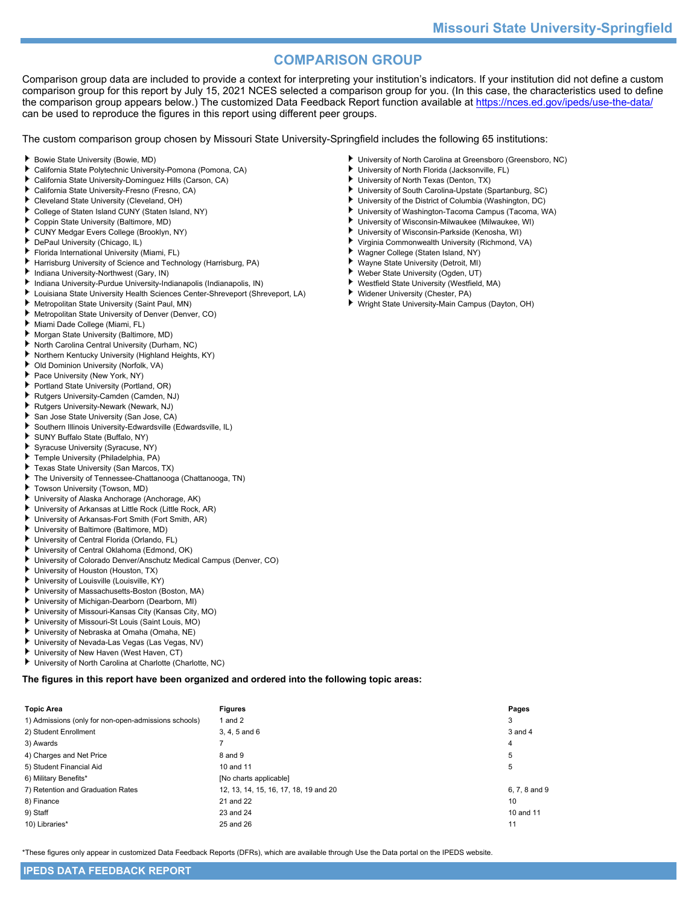# **COMPARISON GROUP**

Comparison group data are included to provide a context for interpreting your institution's indicators. If your institution did not define a custom comparison group for this report by July 15, 2021 NCES selected a comparison group for you. (In this case, the characteristics used to define the comparison group appears below.) The customized Data Feedback Report function available at<https://nces.ed.gov/ipeds/use-the-data/> can be used to reproduce the figures in this report using different peer groups.

The custom comparison group chosen by Missouri State University-Springfield includes the following 65 institutions:

- ٠ Bowie State University (Bowie, MD)
- California State Polytechnic University-Pomona (Pomona, CA)
- California State University-Dominguez Hills (Carson, CA)
- California State University-Fresno (Fresno, CA)
- ٠ Cleveland State University (Cleveland, OH)
- College of Staten Island CUNY (Staten Island, NY)
- Coppin State University (Baltimore, MD)
- CUNY Medgar Evers College (Brooklyn, NY) ۰.
- DePaul University (Chicago, IL)
- Florida International University (Miami, FL)
- Harrisburg University of Science and Technology (Harrisburg, PA)
- Indiana University-Northwest (Gary, IN)
- Indiana University-Purdue University-Indianapolis (Indianapolis, IN)
- Louisiana State University Health Sciences Center-Shreveport (Shreveport, LA)
- Metropolitan State University (Saint Paul, MN)
- Metropolitan State University of Denver (Denver, CO)
- Miami Dade College (Miami, FL)
- ۰. Morgan State University (Baltimore, MD)
- North Carolina Central University (Durham, NC)
- Northern Kentucky University (Highland Heights, KY)
- Old Dominion University (Norfolk, VA)
- Pace University (New York, NY)
- Portland State University (Portland, OR)
- Rutgers University-Camden (Camden, NJ)
- Rutgers University-Newark (Newark, NJ)
- San Jose State University (San Jose, CA)
- Southern Illinois University-Edwardsville (Edwardsville, IL)
- SUNY Buffalo State (Buffalo, NY)
- Syracuse University (Syracuse, NY)
- Temple University (Philadelphia, PA) ۰.
- Texas State University (San Marcos, TX)
- The University of Tennessee-Chattanooga (Chattanooga, TN)
- Towson University (Towson, MD)
- University of Alaska Anchorage (Anchorage, AK)
- University of Arkansas at Little Rock (Little Rock, AR)
- University of Arkansas-Fort Smith (Fort Smith, AR)
- University of Baltimore (Baltimore, MD)
- University of Central Florida (Orlando, FL)
- University of Central Oklahoma (Edmond, OK)
- University of Colorado Denver/Anschutz Medical Campus (Denver, CO)
- University of Houston (Houston, TX)
- University of Louisville (Louisville, KY)
- University of Massachusetts-Boston (Boston, MA)
- University of Michigan-Dearborn (Dearborn, MI)
- ь University of Missouri-Kansas City (Kansas City, MO)
- University of Missouri-St Louis (Saint Louis, MO)
- University of Nebraska at Omaha (Omaha, NE)
- University of Nevada-Las Vegas (Las Vegas, NV)
- University of New Haven (West Haven, CT)
- University of North Carolina at Charlotte (Charlotte, NC)

**The figures in this report have been organized and ordered into the following topic areas:**

| <b>Topic Area</b>                                    | <b>Figures</b>                        | Pages         |
|------------------------------------------------------|---------------------------------------|---------------|
| 1) Admissions (only for non-open-admissions schools) | 1 and $2$                             | 3             |
| 2) Student Enrollment                                | 3, 4, 5 and 6                         | $3$ and $4$   |
| 3) Awards                                            |                                       | 4             |
| 4) Charges and Net Price                             | 8 and 9                               | 5             |
| 5) Student Financial Aid                             | 10 and 11                             | 5             |
| 6) Military Benefits*                                | [No charts applicable]                |               |
| 7) Retention and Graduation Rates                    | 12, 13, 14, 15, 16, 17, 18, 19 and 20 | 6, 7, 8 and 9 |
| 8) Finance                                           | 21 and 22                             | 10            |
| 9) Staff                                             | 23 and 24                             | 10 and 11     |
| 10) Libraries*                                       | 25 and 26                             | 11            |

\*These figures only appear in customized Data Feedback Reports (DFRs), which are available through Use the Data portal on the IPEDS website.

- University of North Carolina at Greensboro (Greensboro, NC)
- University of North Florida (Jacksonville, FL)
- University of North Texas (Denton, TX)
- University of South Carolina-Upstate (Spartanburg, SC)
- University of the District of Columbia (Washington, DC)
- University of Washington-Tacoma Campus (Tacoma, WA) University of Wisconsin-Milwaukee (Milwaukee, WI)
- University of Wisconsin-Parkside (Kenosha, WI)
- Virginia Commonwealth University (Richmond, VA)
- Wagner College (Staten Island, NY)
- Wayne State University (Detroit, MI)
- þ. Weber State University (Ogden, UT)
- Westfield State University (Westfield, MA) .
- Widener University (Chester, PA)
- Wright State University-Main Campus (Dayton, OH)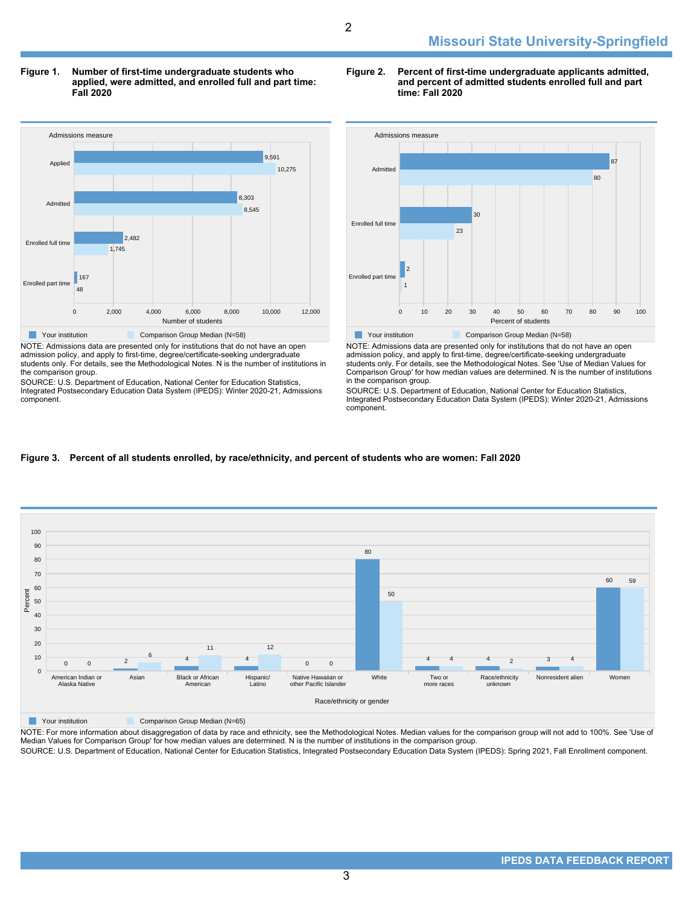**Figure 1. Number of first-time undergraduate students who applied, were admitted, and enrolled full and part time: Fall 2020**



NOTE: Admissions data are presented only for institutions that do not have an open admission policy, and apply to first-time, degree/certificate-seeking undergraduate students only. For details, see the Methodological Notes. N is the number of institutions in the comparison group.

SOURCE: U.S. Department of Education, National Center for Education Statistics, Integrated Postsecondary Education Data System (IPEDS): Winter 2020-21, Admissions component.

#### **Figure 2. Percent of first-time undergraduate applicants admitted, and percent of admitted students enrolled full and part time: Fall 2020**



NOTE: Admissions data are presented only for institutions that do not have an open admission policy, and apply to first-time, degree/certificate-seeking undergraduate students only. For details, see the Methodological Notes. See 'Use of Median Values for Comparison Group' for how median values are determined. N is the number of institutions in the comparison group.

SOURCE: U.S. Department of Education, National Center for Education Statistics, Integrated Postsecondary Education Data System (IPEDS): Winter 2020-21, Admissions component.

#### **Figure 3. Percent of all students enrolled, by race/ethnicity, and percent of students who are women: Fall 2020**



NOTE: For more information about disaggregation of data by race and ethnicity, see the Methodological Notes. Median values for the comparison group will not add to 100%. See 'Use of Median Values for Comparison Group' for how median values are determined. N is the number of institutions in the comparison group. SOURCE: U.S. Department of Education, National Center for Education Statistics, Integrated Postsecondary Education Data System (IPEDS): Spring 2021, Fall Enrollment component.

3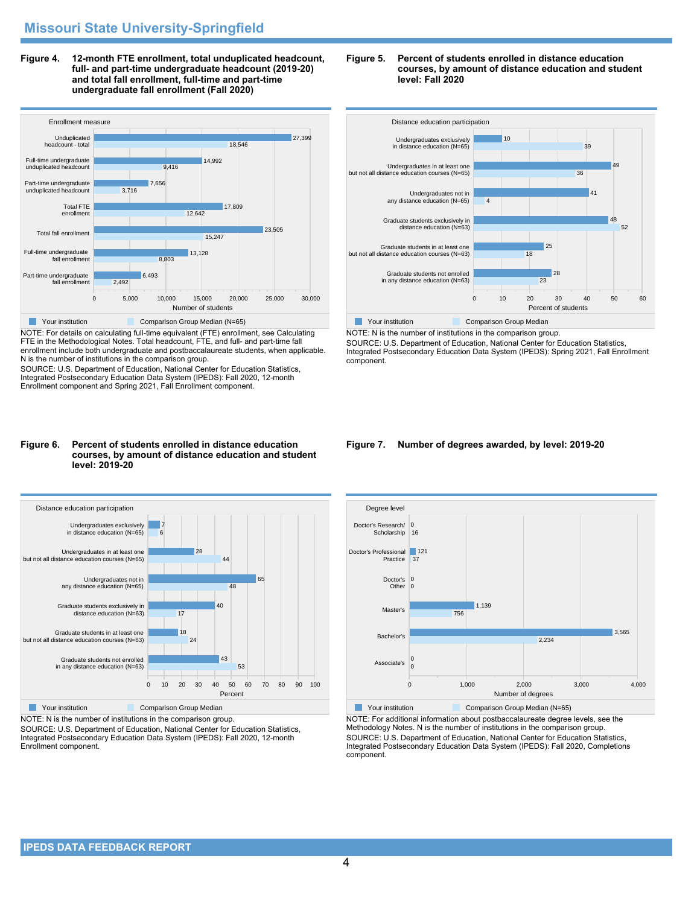**Figure 4. 12-month FTE enrollment, total unduplicated headcount, full- and part-time undergraduate headcount (2019-20) and total fall enrollment, full-time and part-time undergraduate fall enrollment (Fall 2020)**



NOTE: For details on calculating full-time equivalent (FTE) enrollment, see Calculating FTE in the Methodological Notes. Total headcount, FTE, and full- and part-time fall enrollment include both undergraduate and postbaccalaureate students, when applicable. N is the number of institutions in the comparison group.

SOURCE: U.S. Department of Education, National Center for Education Statistics, Integrated Postsecondary Education Data System (IPEDS): Fall 2020, 12-month Enrollment component and Spring 2021, Fall Enrollment component.

#### **Figure 6. Percent of students enrolled in distance education courses, by amount of distance education and student level: 2019-20**



NOTE: N is the number of institutions in the comparison group.

SOURCE: U.S. Department of Education, National Center for Education Statistics, Integrated Postsecondary Education Data System (IPEDS): Fall 2020, 12-month Enrollment component.





NOTE: N is the number of institutions in the comparison group. SOURCE: U.S. Department of Education, National Center for Education Statistics, Integrated Postsecondary Education Data System (IPEDS): Spring 2021, Fall Enrollment component.

#### **Figure 7. Number of degrees awarded, by level: 2019-20**



NOTE: For additional information about postbaccalaureate degree levels, see the Methodology Notes. N is the number of institutions in the comparison group. SOURCE: U.S. Department of Education, National Center for Education Statistics, Integrated Postsecondary Education Data System (IPEDS): Fall 2020, Completions component.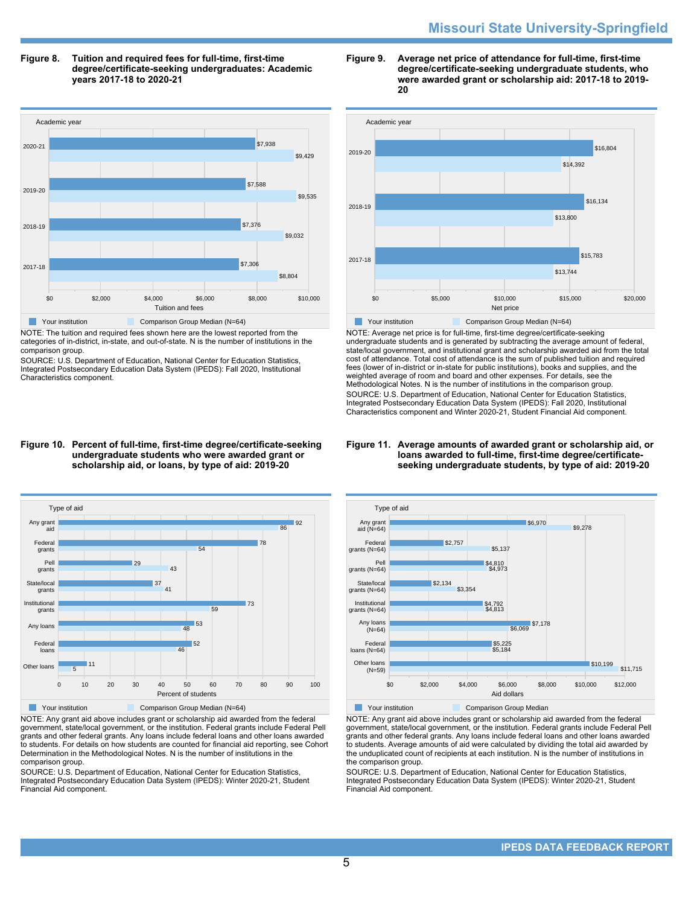# **Missouri State University-Springfield**

**Figure 8. Tuition and required fees for full-time, first-time degree/certificate-seeking undergraduates: Academic years 2017-18 to 2020-21**



NOTE: The tuition and required fees shown here are the lowest reported from the categories of in-district, in-state, and out-of-state. N is the number of institutions in the comparison group.

SOURCE: U.S. Department of Education, National Center for Education Statistics, Integrated Postsecondary Education Data System (IPEDS): Fall 2020, Institutional Characteristics component.





NOTE: Average net price is for full-time, first-time degree/certificate-seeking undergraduate students and is generated by subtracting the average amount of federal, state/local government, and institutional grant and scholarship awarded aid from the total cost of attendance. Total cost of attendance is the sum of published tuition and required fees (lower of in-district or in-state for public institutions), books and supplies, and the weighted average of room and board and other expenses. For details, see the Methodological Notes. N is the number of institutions in the comparison group. SOURCE: U.S. Department of Education, National Center for Education Statistics, Integrated Postsecondary Education Data System (IPEDS): Fall 2020, Institutional Characteristics component and Winter 2020-21, Student Financial Aid component.

#### **Figure 11. Average amounts of awarded grant or scholarship aid, or loans awarded to full-time, first-time degree/certificateseeking undergraduate students, by type of aid: 2019-20**



NOTE: Any grant aid above includes grant or scholarship aid awarded from the federal government, state/local government, or the institution. Federal grants include Federal Pell grants and other federal grants. Any loans include federal loans and other loans awarded to students. For details on how students are counted for financial aid reporting, see Cohort Determination in the Methodological Notes. N is the number of institutions in the comparison group.

SOURCE: U.S. Department of Education, National Center for Education Statistics, Integrated Postsecondary Education Data System (IPEDS): Winter 2020-21, Student Financial Aid component.



NOTE: Any grant aid above includes grant or scholarship aid awarded from the federal government, state/local government, or the institution. Federal grants include Federal Pell grants and other federal grants. Any loans include federal loans and other loans awarded to students. Average amounts of aid were calculated by dividing the total aid awarded by the unduplicated count of recipients at each institution. N is the number of institutions in the comparison group.

SOURCE: U.S. Department of Education, National Center for Education Statistics, Integrated Postsecondary Education Data System (IPEDS): Winter 2020-21, Student Financial Aid component.

#### **Figure 10. Percent of full-time, first-time degree/certificate-seeking undergraduate students who were awarded grant or scholarship aid, or loans, by type of aid: 2019-20**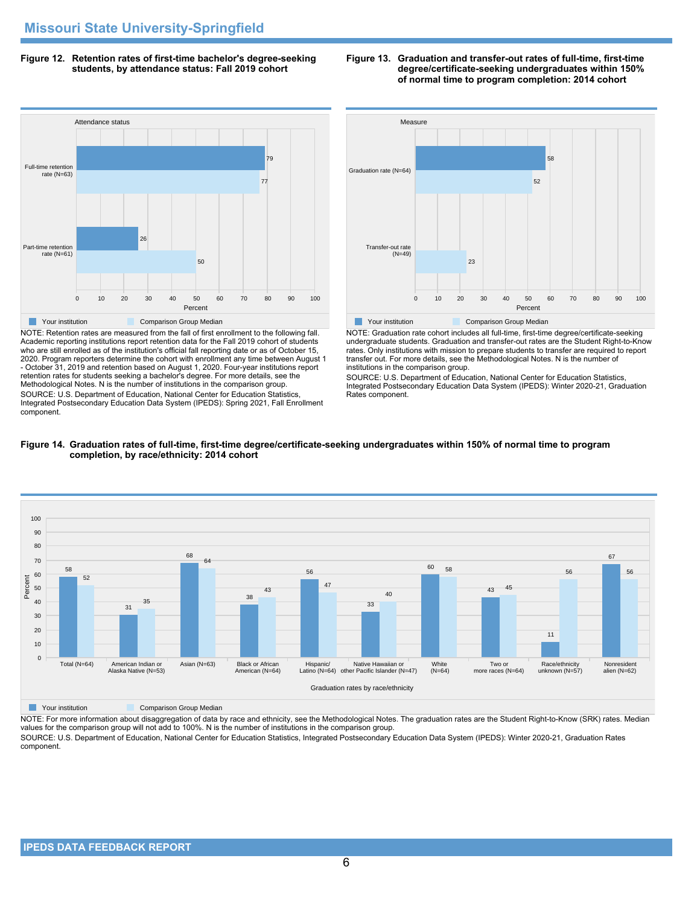**Figure 12. Retention rates of first-time bachelor's degree-seeking students, by attendance status: Fall 2019 cohort**



NOTE: Retention rates are measured from the fall of first enrollment to the following fall. Academic reporting institutions report retention data for the Fall 2019 cohort of students who are still enrolled as of the institution's official fall reporting date or as of October 15, 2020. Program reporters determine the cohort with enrollment any time between August 1 - October 31, 2019 and retention based on August 1, 2020. Four-year institutions report retention rates for students seeking a bachelor's degree. For more details, see the Methodological Notes. N is the number of institutions in the comparison group. SOURCE: U.S. Department of Education, National Center for Education Statistics, Integrated Postsecondary Education Data System (IPEDS): Spring 2021, Fall Enrollment component.





NOTE: Graduation rate cohort includes all full-time, first-time degree/certificate-seeking undergraduate students. Graduation and transfer-out rates are the Student Right-to-Know rates. Only institutions with mission to prepare students to transfer are required to report transfer out. For more details, see the Methodological Notes. N is the number of institutions in the comparison group.

SOURCE: U.S. Department of Education, National Center for Education Statistics, Integrated Postsecondary Education Data System (IPEDS): Winter 2020-21, Graduation Rates component.





**The Comparison Group Median** Comparison Group Median

NOTE: For more information about disaggregation of data by race and ethnicity, see the Methodological Notes. The graduation rates are the Student Right-to-Know (SRK) rates. Median values for the comparison group will not add to 100%. N is the number of institutions in the comparison group.

SOURCE: U.S. Department of Education, National Center for Education Statistics, Integrated Postsecondary Education Data System (IPEDS): Winter 2020-21, Graduation Rates component.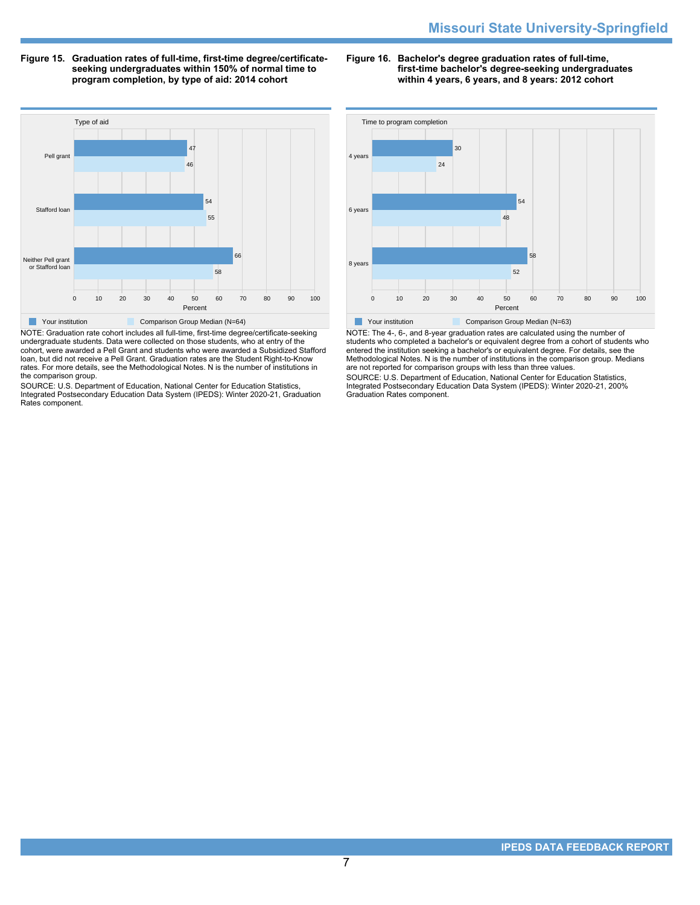**Figure 15. Graduation rates of full-time, first-time degree/certificateseeking undergraduates within 150% of normal time to program completion, by type of aid: 2014 cohort**

**Figure 16. Bachelor's degree graduation rates of full-time, first-time bachelor's degree-seeking undergraduates within 4 years, 6 years, and 8 years: 2012 cohort**



NOTE: Graduation rate cohort includes all full-time, first-time degree/certificate-seeking undergraduate students. Data were collected on those students, who at entry of the cohort, were awarded a Pell Grant and students who were awarded a Subsidized Stafford loan, but did not receive a Pell Grant. Graduation rates are the Student Right-to-Know rates. For more details, see the Methodological Notes. N is the number of institutions in the comparison group.

SOURCE: U.S. Department of Education, National Center for Education Statistics, Integrated Postsecondary Education Data System (IPEDS): Winter 2020-21, Graduation Rates component.



NOTE: The 4-, 6-, and 8-year graduation rates are calculated using the number of students who completed a bachelor's or equivalent degree from a cohort of students who entered the institution seeking a bachelor's or equivalent degree. For details, see the Methodological Notes. N is the number of institutions in the comparison group. Medians are not reported for comparison groups with less than three values.

SOURCE: U.S. Department of Education, National Center for Education Statistics, Integrated Postsecondary Education Data System (IPEDS): Winter 2020-21, 200% Graduation Rates component.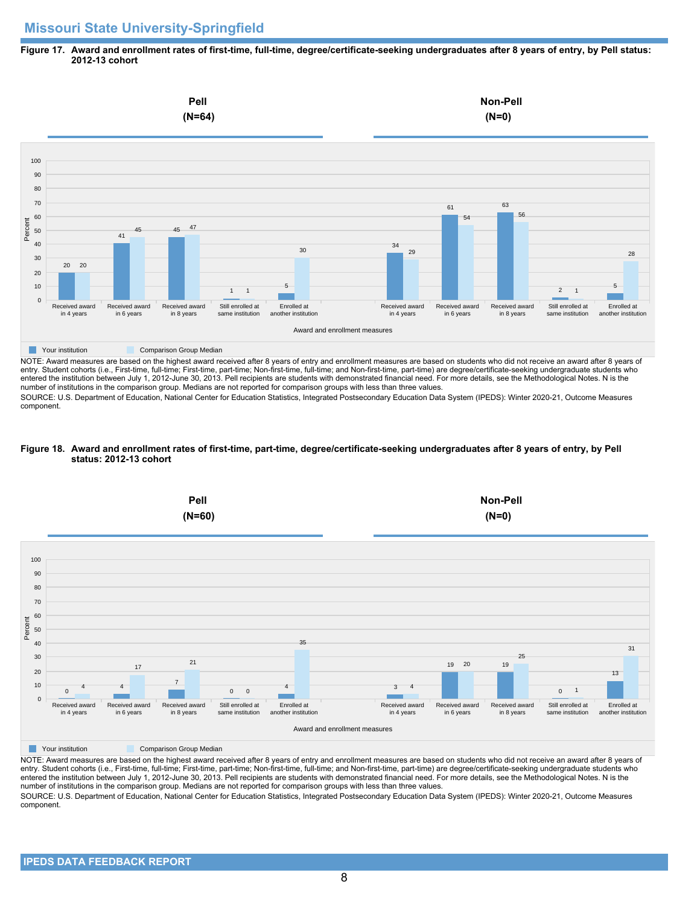# **Missouri State University-Springfield**

#### **Figure 17. Award and enrollment rates of first-time, full-time, degree/certificate-seeking undergraduates after 8 years of entry, by Pell status: 2012-13 cohort**



NOTE: Award measures are based on the highest award received after 8 years of entry and enrollment measures are based on students who did not receive an award after 8 years of entry. Student cohorts (i.e., First-time, full-time; First-time, part-time; Non-first-time, full-time; and Non-first-time, part-time) are degree/certificate-seeking undergraduate students who entered the institution between July 1, 2012-June 30, 2013. Pell recipients are students with demonstrated financial need. For more details, see the Methodological Notes. N is the number of institutions in the comparison group. Medians are not reported for comparison groups with less than three values.

SOURCE: U.S. Department of Education, National Center for Education Statistics, Integrated Postsecondary Education Data System (IPEDS): Winter 2020-21, Outcome Measures component.

#### **Figure 18. Award and enrollment rates of first-time, part-time, degree/certificate-seeking undergraduates after 8 years of entry, by Pell status: 2012-13 cohort**



NOTE: Award measures are based on the highest award received after 8 years of entry and enrollment measures are based on students who did not receive an award after 8 years of entry. Student cohorts (i.e., First-time, full-time; First-time, part-time; Non-first-time, full-time; and Non-first-time, part-time) are degree/certificate-seeking undergraduate students who entered the institution between July 1, 2012-June 30, 2013. Pell recipients are students with demonstrated financial need. For more details, see the Methodological Notes. N is the number of institutions in the comparison group. Medians are not reported for comparison groups with less than three values. SOURCE: U.S. Department of Education, National Center for Education Statistics, Integrated Postsecondary Education Data System (IPEDS): Winter 2020-21, Outcome Measures component.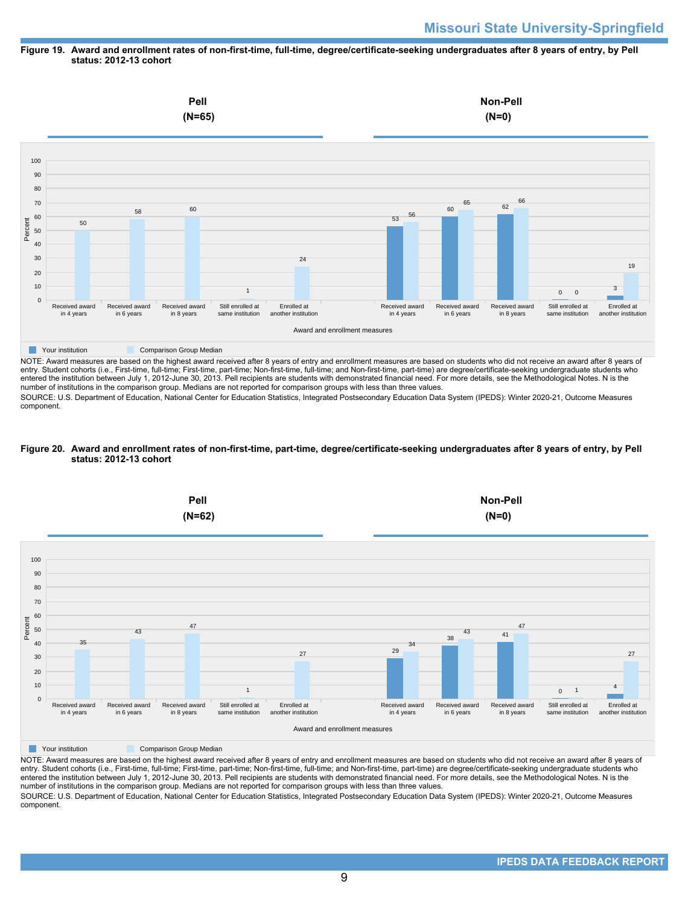#### **Figure 19. Award and enrollment rates of non-first-time, full-time, degree/certificate-seeking undergraduates after 8 years of entry, by Pell status: 2012-13 cohort**



entry. Student cohorts (i.e., First-time, full-time; First-time, part-time; Non-first-time, full-time; and Non-first-time, part-time) are degree/certificate-seeking undergraduate students who entered the institution between July 1, 2012-June 30, 2013. Pell recipients are students with demonstrated financial need. For more details, see the Methodological Notes. N is the number of institutions in the comparison group. Medians are not reported for comparison groups with less than three values.

SOURCE: U.S. Department of Education, National Center for Education Statistics, Integrated Postsecondary Education Data System (IPEDS): Winter 2020-21, Outcome Measures component.

#### **Figure 20. Award and enrollment rates of non-first-time, part-time, degree/certificate-seeking undergraduates after 8 years of entry, by Pell status: 2012-13 cohort**



NOTE: Award measures are based on the highest award received after 8 years of entry and enrollment measures are based on students who did not receive an award after 8 years of entry. Student cohorts (i.e., First-time, full-time; First-time, part-time; Non-first-time, full-time; and Non-first-time, part-time) are degree/certificate-seeking undergraduate students who entered the institution between July 1, 2012-June 30, 2013. Pell recipients are students with demonstrated financial need. For more details, see the Methodological Notes. N is the number of institutions in the comparison group. Medians are not reported for comparison groups with less than three values. SOURCE: U.S. Department of Education, National Center for Education Statistics, Integrated Postsecondary Education Data System (IPEDS): Winter 2020-21, Outcome Measures component.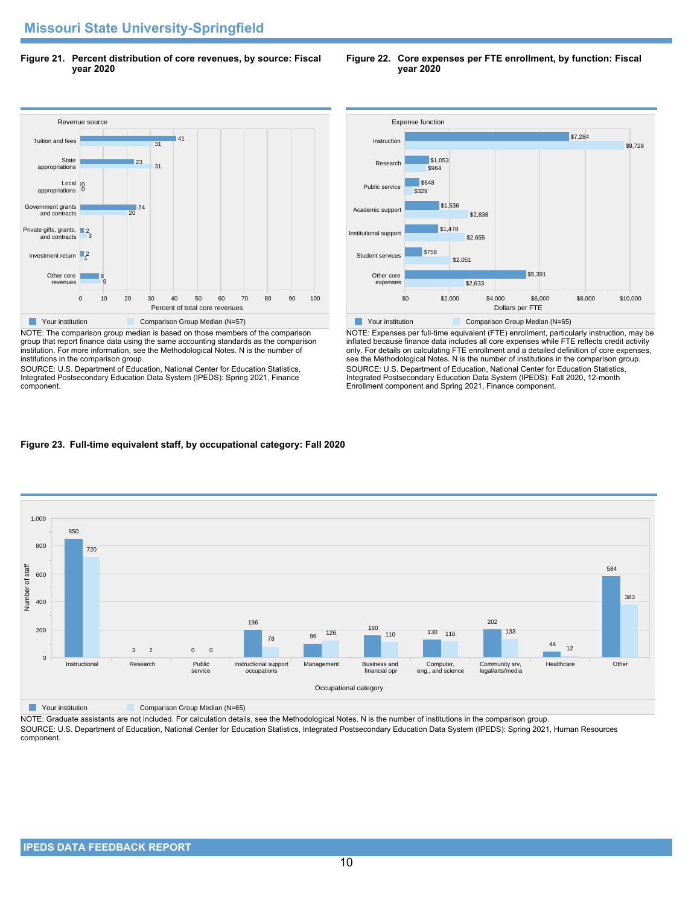**Figure 21. Percent distribution of core revenues, by source: Fiscal year 2020**

#### Revenue source 0 10 20 30 40 50 60 70 80 90 100 Percent of total core revenues Other core revenues Investment return 12 Private gifts, grants, 2<br>and contracts Government grants and contracts Local appropriations **State** appropriations Tuition and fees 9 8  $\frac{1}{20}$  24 0 0 31 23 31 141 **The Comparison Group Median (N=57)** Comparison Group Median (N=57)

NOTE: The comparison group median is based on those members of the comparison group that report finance data using the same accounting standards as the comparison institution. For more information, see the Methodological Notes. N is the number of institutions in the comparison group.

SOURCE: U.S. Department of Education, National Center for Education Statistics, Integrated Postsecondary Education Data System (IPEDS): Spring 2021, Finance component.



NOTE: Expenses per full-time equivalent (FTE) enrollment, particularly instruction, may be inflated because finance data includes all core expenses while FTE reflects credit activity only. For details on calculating FTE enrollment and a detailed definition of core expenses, see the Methodological Notes. N is the number of institutions in the comparison group. SOURCE: U.S. Department of Education, National Center for Education Statistics, Integrated Postsecondary Education Data System (IPEDS): Fall 2020, 12-month Enrollment component and Spring 2021, Finance component.

# **Figure 23. Full-time equivalent staff, by occupational category: Fall 2020**



**The Comparison Group Median (N=65)** Comparison Group Median (N=65)

NOTE: Graduate assistants are not included. For calculation details, see the Methodological Notes. N is the number of institutions in the comparison group. SOURCE: U.S. Department of Education, National Center for Education Statistics, Integrated Postsecondary Education Data System (IPEDS): Spring 2021, Human Resources component.

**Figure 22. Core expenses per FTE enrollment, by function: Fiscal year 2020**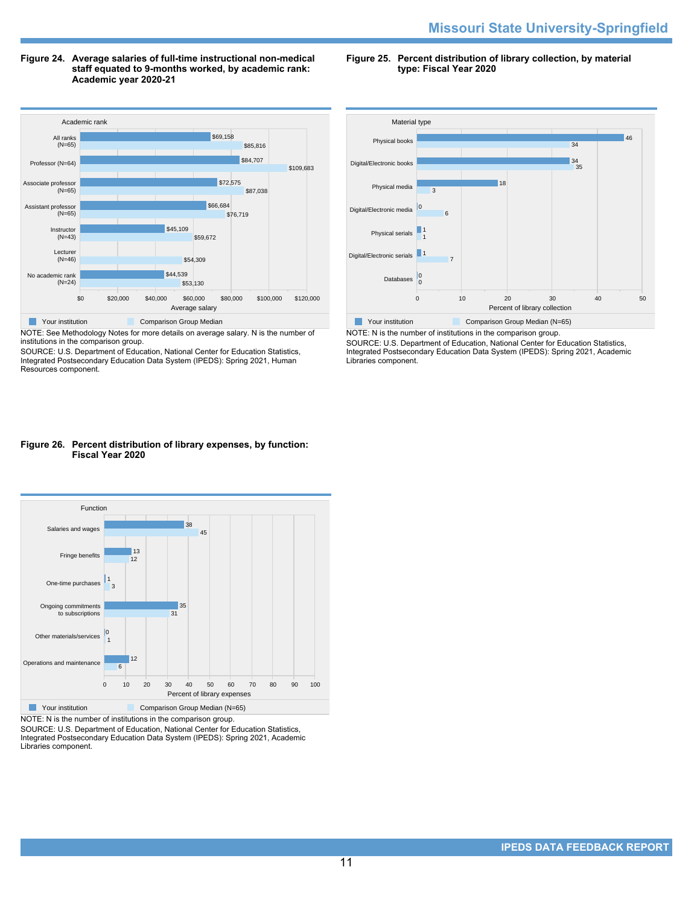#### **Figure 24. Average salaries of full-time instructional non-medical staff equated to 9-months worked, by academic rank: Academic year 2020-21**

**Figure 25. Percent distribution of library collection, by material type: Fiscal Year 2020**



NOTE: See Methodology Notes for more details on average salary. N is the number of institutions in the comparison group.

SOURCE: U.S. Department of Education, National Center for Education Statistics, Integrated Postsecondary Education Data System (IPEDS): Spring 2021, Human Resources component.



NOTE: N is the number of institutions in the comparison group. SOURCE: U.S. Department of Education, National Center for Education Statistics, Integrated Postsecondary Education Data System (IPEDS): Spring 2021, Academic Libraries component.

## **Figure 26. Percent distribution of library expenses, by function: Fiscal Year 2020**



NOTE: N is the number of institutions in the comparison group.

SOURCE: U.S. Department of Education, National Center for Education Statistics, Integrated Postsecondary Education Data System (IPEDS): Spring 2021, Academic Libraries component.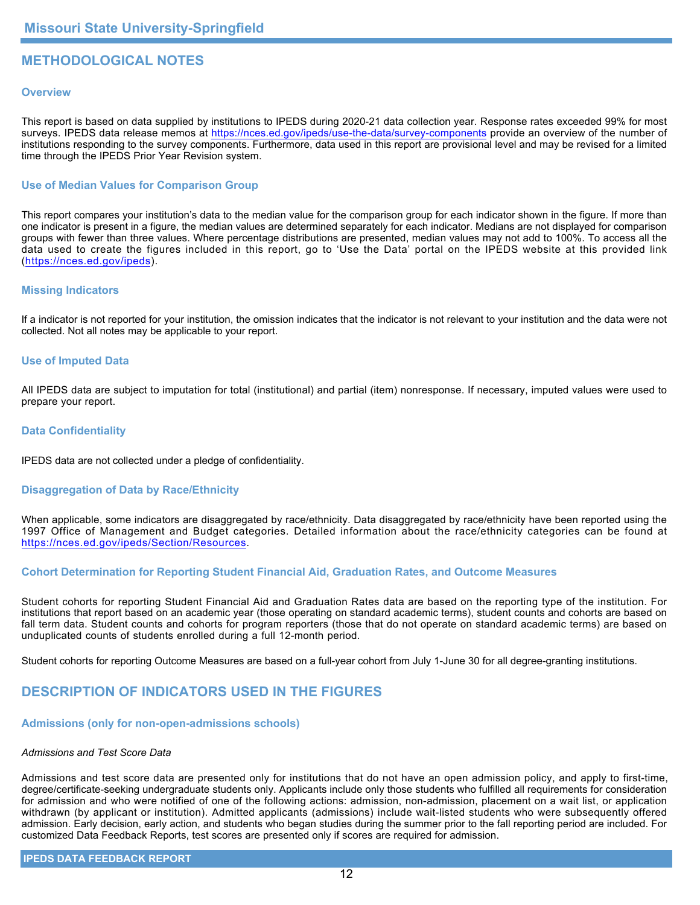# **METHODOLOGICAL NOTES**

## **Overview**

This report is based on data supplied by institutions to IPEDS during 2020-21 data collection year. Response rates exceeded 99% for most surveys. IPEDS data release memos at <https://nces.ed.gov/ipeds/use-the-data/survey-components> provide an overview of the number of institutions responding to the survey components. Furthermore, data used in this report are provisional level and may be revised for a limited time through the IPEDS Prior Year Revision system.

## **Use of Median Values for Comparison Group**

This report compares your institution's data to the median value for the comparison group for each indicator shown in the figure. If more than one indicator is present in a figure, the median values are determined separately for each indicator. Medians are not displayed for comparison groups with fewer than three values. Where percentage distributions are presented, median values may not add to 100%. To access all the data used to create the figures included in this report, go to 'Use the Data' portal on the IPEDS website at this provided link (<https://nces.ed.gov/ipeds>).

## **Missing Indicators**

If a indicator is not reported for your institution, the omission indicates that the indicator is not relevant to your institution and the data were not collected. Not all notes may be applicable to your report.

#### **Use of Imputed Data**

All IPEDS data are subject to imputation for total (institutional) and partial (item) nonresponse. If necessary, imputed values were used to prepare your report.

#### **Data Confidentiality**

IPEDS data are not collected under a pledge of confidentiality.

# **Disaggregation of Data by Race/Ethnicity**

When applicable, some indicators are disaggregated by race/ethnicity. Data disaggregated by race/ethnicity have been reported using the 1997 Office of Management and Budget categories. Detailed information about the race/ethnicity categories can be found at <https://nces.ed.gov/ipeds/Section/Resources>.

# **Cohort Determination for Reporting Student Financial Aid, Graduation Rates, and Outcome Measures**

Student cohorts for reporting Student Financial Aid and Graduation Rates data are based on the reporting type of the institution. For institutions that report based on an academic year (those operating on standard academic terms), student counts and cohorts are based on fall term data. Student counts and cohorts for program reporters (those that do not operate on standard academic terms) are based on unduplicated counts of students enrolled during a full 12-month period.

Student cohorts for reporting Outcome Measures are based on a full-year cohort from July 1-June 30 for all degree-granting institutions.

# **DESCRIPTION OF INDICATORS USED IN THE FIGURES**

### **Admissions (only for non-open-admissions schools)**

#### *Admissions and Test Score Data*

Admissions and test score data are presented only for institutions that do not have an open admission policy, and apply to first-time, degree/certificate-seeking undergraduate students only. Applicants include only those students who fulfilled all requirements for consideration for admission and who were notified of one of the following actions: admission, non-admission, placement on a wait list, or application withdrawn (by applicant or institution). Admitted applicants (admissions) include wait-listed students who were subsequently offered admission. Early decision, early action, and students who began studies during the summer prior to the fall reporting period are included. For customized Data Feedback Reports, test scores are presented only if scores are required for admission.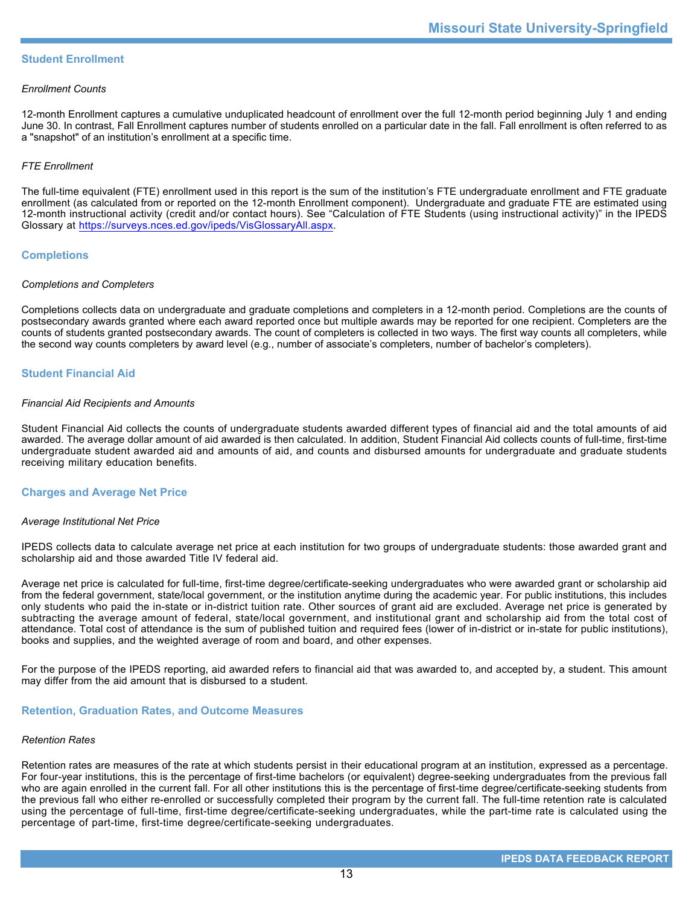## **Student Enrollment**

#### *Enrollment Counts*

12-month Enrollment captures a cumulative unduplicated headcount of enrollment over the full 12-month period beginning July 1 and ending June 30. In contrast, Fall Enrollment captures number of students enrolled on a particular date in the fall. Fall enrollment is often referred to as a "snapshot" of an institution's enrollment at a specific time.

## *FTE Enrollment*

The full-time equivalent (FTE) enrollment used in this report is the sum of the institution's FTE undergraduate enrollment and FTE graduate enrollment (as calculated from or reported on the 12-month Enrollment component). Undergraduate and graduate FTE are estimated using 12-month instructional activity (credit and/or contact hours). See "Calculation of FTE Students (using instructional activity)" in the IPEDS Glossary at <https://surveys.nces.ed.gov/ipeds/VisGlossaryAll.aspx>.

## **Completions**

#### *Completions and Completers*

Completions collects data on undergraduate and graduate completions and completers in a 12-month period. Completions are the counts of postsecondary awards granted where each award reported once but multiple awards may be reported for one recipient. Completers are the counts of students granted postsecondary awards. The count of completers is collected in two ways. The first way counts all completers, while the second way counts completers by award level (e.g., number of associate's completers, number of bachelor's completers).

# **Student Financial Aid**

#### *Financial Aid Recipients and Amounts*

Student Financial Aid collects the counts of undergraduate students awarded different types of financial aid and the total amounts of aid awarded. The average dollar amount of aid awarded is then calculated. In addition, Student Financial Aid collects counts of full-time, first-time undergraduate student awarded aid and amounts of aid, and counts and disbursed amounts for undergraduate and graduate students receiving military education benefits.

#### **Charges and Average Net Price**

#### *Average Institutional Net Price*

IPEDS collects data to calculate average net price at each institution for two groups of undergraduate students: those awarded grant and scholarship aid and those awarded Title IV federal aid.

Average net price is calculated for full-time, first-time degree/certificate-seeking undergraduates who were awarded grant or scholarship aid from the federal government, state/local government, or the institution anytime during the academic year. For public institutions, this includes only students who paid the in-state or in-district tuition rate. Other sources of grant aid are excluded. Average net price is generated by subtracting the average amount of federal, state/local government, and institutional grant and scholarship aid from the total cost of attendance. Total cost of attendance is the sum of published tuition and required fees (lower of in-district or in-state for public institutions), books and supplies, and the weighted average of room and board, and other expenses.

For the purpose of the IPEDS reporting, aid awarded refers to financial aid that was awarded to, and accepted by, a student. This amount may differ from the aid amount that is disbursed to a student.

#### **Retention, Graduation Rates, and Outcome Measures**

#### *Retention Rates*

Retention rates are measures of the rate at which students persist in their educational program at an institution, expressed as a percentage. For four-year institutions, this is the percentage of first-time bachelors (or equivalent) degree-seeking undergraduates from the previous fall who are again enrolled in the current fall. For all other institutions this is the percentage of first-time degree/certificate-seeking students from the previous fall who either re-enrolled or successfully completed their program by the current fall. The full-time retention rate is calculated using the percentage of full-time, first-time degree/certificate-seeking undergraduates, while the part-time rate is calculated using the percentage of part-time, first-time degree/certificate-seeking undergraduates.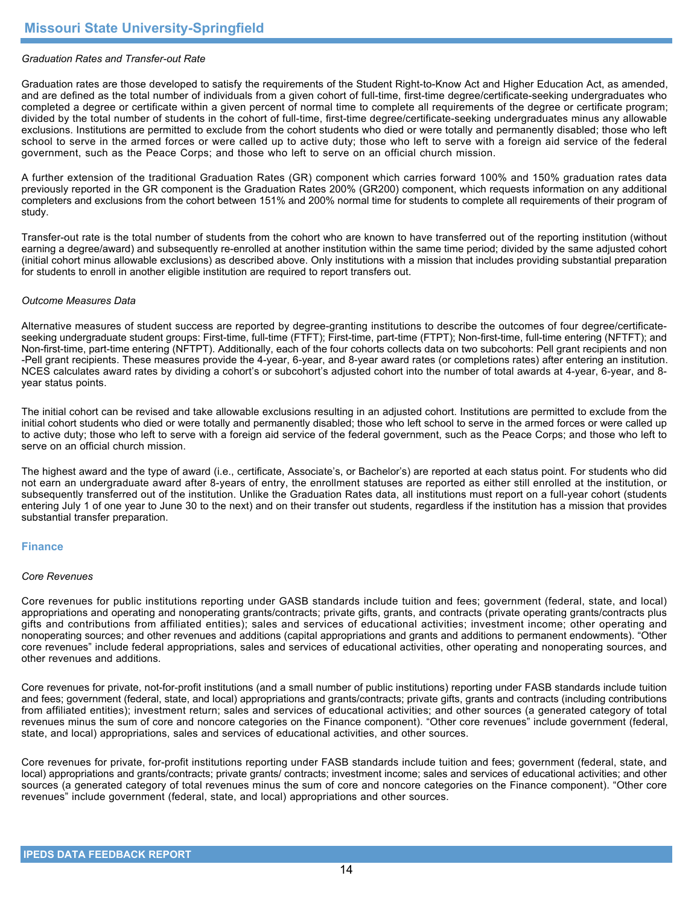## *Graduation Rates and Transfer-out Rate*

Graduation rates are those developed to satisfy the requirements of the Student Right-to-Know Act and Higher Education Act, as amended, and are defined as the total number of individuals from a given cohort of full-time, first-time degree/certificate-seeking undergraduates who completed a degree or certificate within a given percent of normal time to complete all requirements of the degree or certificate program; divided by the total number of students in the cohort of full-time, first-time degree/certificate-seeking undergraduates minus any allowable exclusions. Institutions are permitted to exclude from the cohort students who died or were totally and permanently disabled; those who left school to serve in the armed forces or were called up to active duty; those who left to serve with a foreign aid service of the federal government, such as the Peace Corps; and those who left to serve on an official church mission.

A further extension of the traditional Graduation Rates (GR) component which carries forward 100% and 150% graduation rates data previously reported in the GR component is the Graduation Rates 200% (GR200) component, which requests information on any additional completers and exclusions from the cohort between 151% and 200% normal time for students to complete all requirements of their program of study.

Transfer-out rate is the total number of students from the cohort who are known to have transferred out of the reporting institution (without earning a degree/award) and subsequently re-enrolled at another institution within the same time period; divided by the same adjusted cohort (initial cohort minus allowable exclusions) as described above. Only institutions with a mission that includes providing substantial preparation for students to enroll in another eligible institution are required to report transfers out.

#### *Outcome Measures Data*

Alternative measures of student success are reported by degree-granting institutions to describe the outcomes of four degree/certificateseeking undergraduate student groups: First-time, full-time (FTFT); First-time, part-time (FTPT); Non-first-time, full-time entering (NFTFT); and Non-first-time, part-time entering (NFTPT). Additionally, each of the four cohorts collects data on two subcohorts: Pell grant recipients and non -Pell grant recipients. These measures provide the 4-year, 6-year, and 8-year award rates (or completions rates) after entering an institution. NCES calculates award rates by dividing a cohort's or subcohort's adjusted cohort into the number of total awards at 4-year, 6-year, and 8year status points.

The initial cohort can be revised and take allowable exclusions resulting in an adjusted cohort. Institutions are permitted to exclude from the initial cohort students who died or were totally and permanently disabled; those who left school to serve in the armed forces or were called up to active duty; those who left to serve with a foreign aid service of the federal government, such as the Peace Corps; and those who left to serve on an official church mission.

The highest award and the type of award (i.e., certificate, Associate's, or Bachelor's) are reported at each status point. For students who did not earn an undergraduate award after 8-years of entry, the enrollment statuses are reported as either still enrolled at the institution, or subsequently transferred out of the institution. Unlike the Graduation Rates data, all institutions must report on a full-year cohort (students entering July 1 of one year to June 30 to the next) and on their transfer out students, regardless if the institution has a mission that provides substantial transfer preparation.

#### **Finance**

#### *Core Revenues*

Core revenues for public institutions reporting under GASB standards include tuition and fees; government (federal, state, and local) appropriations and operating and nonoperating grants/contracts; private gifts, grants, and contracts (private operating grants/contracts plus gifts and contributions from affiliated entities); sales and services of educational activities; investment income; other operating and nonoperating sources; and other revenues and additions (capital appropriations and grants and additions to permanent endowments). "Other core revenues" include federal appropriations, sales and services of educational activities, other operating and nonoperating sources, and other revenues and additions.

Core revenues for private, not-for-profit institutions (and a small number of public institutions) reporting under FASB standards include tuition and fees; government (federal, state, and local) appropriations and grants/contracts; private gifts, grants and contracts (including contributions from affiliated entities); investment return; sales and services of educational activities; and other sources (a generated category of total revenues minus the sum of core and noncore categories on the Finance component). "Other core revenues" include government (federal, state, and local) appropriations, sales and services of educational activities, and other sources.

Core revenues for private, for-profit institutions reporting under FASB standards include tuition and fees; government (federal, state, and local) appropriations and grants/contracts; private grants/ contracts; investment income; sales and services of educational activities; and other sources (a generated category of total revenues minus the sum of core and noncore categories on the Finance component). "Other core revenues" include government (federal, state, and local) appropriations and other sources.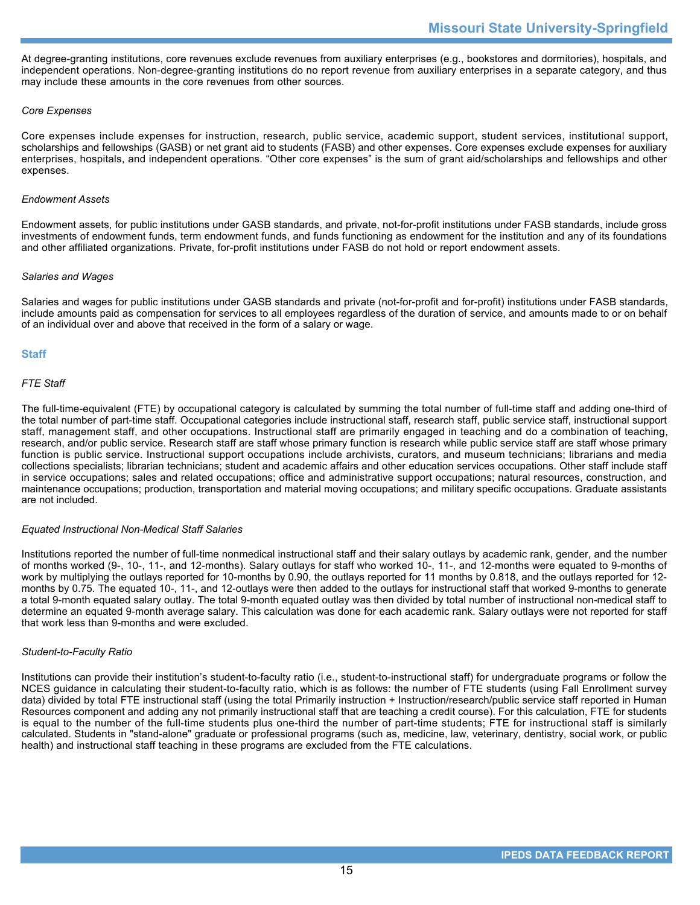At degree-granting institutions, core revenues exclude revenues from auxiliary enterprises (e.g., bookstores and dormitories), hospitals, and independent operations. Non-degree-granting institutions do no report revenue from auxiliary enterprises in a separate category, and thus may include these amounts in the core revenues from other sources.

## *Core Expenses*

Core expenses include expenses for instruction, research, public service, academic support, student services, institutional support, scholarships and fellowships (GASB) or net grant aid to students (FASB) and other expenses. Core expenses exclude expenses for auxiliary enterprises, hospitals, and independent operations. "Other core expenses" is the sum of grant aid/scholarships and fellowships and other expenses.

#### *Endowment Assets*

Endowment assets, for public institutions under GASB standards, and private, not-for-profit institutions under FASB standards, include gross investments of endowment funds, term endowment funds, and funds functioning as endowment for the institution and any of its foundations and other affiliated organizations. Private, for-profit institutions under FASB do not hold or report endowment assets.

## *Salaries and Wages*

Salaries and wages for public institutions under GASB standards and private (not-for-profit and for-profit) institutions under FASB standards, include amounts paid as compensation for services to all employees regardless of the duration of service, and amounts made to or on behalf of an individual over and above that received in the form of a salary or wage.

# **Staff**

## *FTE Staff*

The full-time-equivalent (FTE) by occupational category is calculated by summing the total number of full-time staff and adding one-third of the total number of part-time staff. Occupational categories include instructional staff, research staff, public service staff, instructional support staff, management staff, and other occupations. Instructional staff are primarily engaged in teaching and do a combination of teaching, research, and/or public service. Research staff are staff whose primary function is research while public service staff are staff whose primary function is public service. Instructional support occupations include archivists, curators, and museum technicians; librarians and media collections specialists; librarian technicians; student and academic affairs and other education services occupations. Other staff include staff in service occupations; sales and related occupations; office and administrative support occupations; natural resources, construction, and maintenance occupations; production, transportation and material moving occupations; and military specific occupations. Graduate assistants are not included.

#### *Equated Instructional Non-Medical Staff Salaries*

Institutions reported the number of full-time nonmedical instructional staff and their salary outlays by academic rank, gender, and the number of months worked (9-, 10-, 11-, and 12-months). Salary outlays for staff who worked 10-, 11-, and 12-months were equated to 9-months of work by multiplying the outlays reported for 10-months by 0.90, the outlays reported for 11 months by 0.818, and the outlays reported for 12 months by 0.75. The equated 10-, 11-, and 12-outlays were then added to the outlays for instructional staff that worked 9-months to generate a total 9-month equated salary outlay. The total 9-month equated outlay was then divided by total number of instructional non-medical staff to determine an equated 9-month average salary. This calculation was done for each academic rank. Salary outlays were not reported for staff that work less than 9-months and were excluded.

#### *Student-to-Faculty Ratio*

Institutions can provide their institution's student-to-faculty ratio (i.e., student-to-instructional staff) for undergraduate programs or follow the NCES guidance in calculating their student-to-faculty ratio, which is as follows: the number of FTE students (using Fall Enrollment survey data) divided by total FTE instructional staff (using the total Primarily instruction + Instruction/research/public service staff reported in Human Resources component and adding any not primarily instructional staff that are teaching a credit course). For this calculation, FTE for students is equal to the number of the full-time students plus one-third the number of part-time students; FTE for instructional staff is similarly calculated. Students in "stand-alone" graduate or professional programs (such as, medicine, law, veterinary, dentistry, social work, or public health) and instructional staff teaching in these programs are excluded from the FTE calculations.